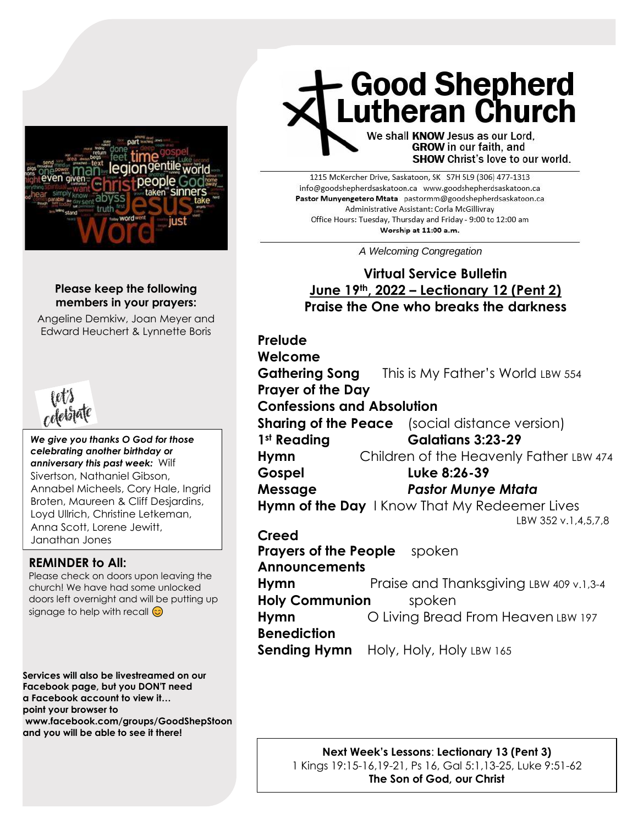

#### **Please keep the following members in your prayers:**

Angeline Demkiw, Joan Meyer and Edward Heuchert & Lynnette Boris



*We give you thanks O God for those celebrating another birthday or anniversary this past week:* Wilf Sivertson, Nathaniel Gibson, Annabel Micheels, Cory Hale, Ingrid Broten, Maureen & Cliff Desjardins, Loyd Ullrich, Christine Letkeman, Anna Scott, Lorene Jewitt, Janathan Jones

#### **REMINDER to All:**

Please check on doors upon leaving the church! We have had some unlocked doors left overnight and will be putting up signage to help with recall  $\odot$ 

**Services will also be livestreamed on our Facebook page, but you DON'T need a Facebook account to view it… point your browser to www.facebook.com/groups/GoodShepStoon and you will be able to see it there!**

# **Good Shepherd<br>Lutheran Church**

We shall KNOW Jesus as our Lord, **GROW** in our faith, and SHOW Christ's love to our world.

1215 McKercher Drive, Saskatoon, SK S7H 5L9 (306) 477-1313 info@goodshepherdsaskatoon.ca www.goodshepherdsaskatoon.ca Pastor Munyengetero Mtata pastormm@goodshepherdsaskatoon.ca Administrative Assistant: Corla McGillivray Office Hours: Tuesday, Thursday and Friday - 9:00 to 12:00 am Worship at 11:00 a.m.

A Welcoming Congregation

### **Virtual Service Bulletin June 19th, 2022 – Lectionary 12 (Pent 2) Praise the One who breaks the darkness**

**Prelude Welcome Gathering Song** This is My Father's World LBW 554 **Prayer of the Day Confessions and Absolution Sharing of the Peace** (social distance version) **1st Reading Galatians 3:23-29 Hymn** Children of the Heavenly Father LBW 474 **Gospel Luke 8:26-39 Message** *Pastor Munye Mtata*  **Hymn of the Day** I Know That My Redeemer Lives LBW 352 v.1,4,5,7,8 **Creed Prayers of the People** spoken **Announcements Hymn** Praise and Thanksgiving LBW 409 v.1,3-4 **Holy Communion** spoken **Hymn** O Living Bread From Heaven LBW 197 **Benediction Sending Hymn** Holy, Holy, Holy LBW 165

> **Next Week's Lessons**: **Lectionary 13 (Pent 3)** 1 Kings 19:15-16,19-21, Ps 16, Gal 5:1,13-25, Luke 9:51-62 **The Son of God, our Christ**